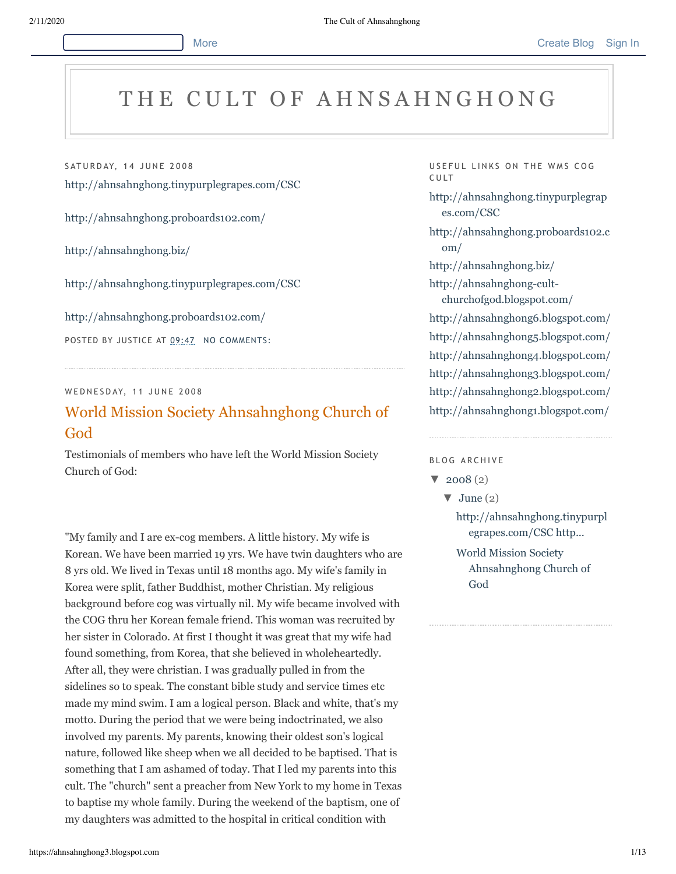## THE CULT OF AHNSAHNGHONG

SATURDAY, 14 JUNE 2008

<http://ahnsahnghong.tinypurplegrapes.com/CSC>

<http://ahnsahnghong.proboards102.com/>

<http://ahnsahnghong.biz/>

<http://ahnsahnghong.tinypurplegrapes.com/CSC>

<http://ahnsahnghong.proboards102.com/>

POSTED BY JUSTICE AT [09:47](https://ahnsahnghong3.blogspot.com/2008/06/httpahnsahnghong.html) NO [COMMENTS:](https://www.blogger.com/comment.g?blogID=6347924704912197100&postID=347911854121182664)

## WEDNESDAY, 11 JUNE 2008

## World [Mission Society](https://ahnsahnghong3.blogspot.com/2008/06/world-mission-society-ahnsahnghong.html) Ahnsahnghong Church of God

Testimonials of members who have left the World Mission Society Church of God:

"My family and I are ex-cog members. A little history. My wife is Korean. We have been married 19 yrs. We have twin daughters who are 8 yrs old. We lived in Texas until 18 months ago. My wife's family in Korea were split, father Buddhist, mother Christian. My religious background before cog was virtually nil. My wife became involved with the COG thru her Korean female friend. This woman was recruited by her sister in Colorado. At first I thought it was great that my wife had found something, from Korea, that she believed in wholeheartedly. After all, they were christian. I was gradually pulled in from the sidelines so to speak. The constant bible study and service times etc made my mind swim. I am a logical person. Black and white, that's my motto. During the period that we were being indoctrinated, we also involved my parents. My parents, knowing their oldest son's logical nature, followed like sheep when we all decided to be baptised. That is something that I am ashamed of today. That I led my parents into this cult. The "church" sent a preacher from New York to my home in Texas to baptise my whole family. During the weekend of the baptism, one of my daughters was admitted to the hospital in critical condition with

USEFUL LINKS ON THE WMS COG C U LT

[http://ahnsahnghong.tinypurplegrap](http://ahnsahnghong.tinypurplegrapes.com/CSC) es.com/CSC

[http://ahnsahnghong.proboards102.c](http://ahnsahnghong.proboards102.com/) om/

<http://ahnsahnghong.biz/>

http://ahnsahnghong-cult[churchofgod.blogspot.com/](http://ahnsahnghong-cult-churchofgod.blogspot.com/)

<http://ahnsahnghong6.blogspot.com/> <http://ahnsahnghong5.blogspot.com/> <http://ahnsahnghong4.blogspot.com/> <http://ahnsahnghong3.blogspot.com/>

<http://ahnsahnghong2.blogspot.com/> <http://ahnsahnghong1.blogspot.com/>

BLOG ARCHIVE

 $\blacktriangledown$  [2008 \(](https://ahnsahnghong3.blogspot.com/2008/)2)

 $\blacktriangledown$  [June](https://ahnsahnghong3.blogspot.com/2008/06/) (2)

[http://ahnsahnghong.tinypurpl](https://ahnsahnghong3.blogspot.com/2008/06/httpahnsahnghong.html) egrapes.com/CSC http...

World Mission Society [Ahnsahnghong Church of](https://ahnsahnghong3.blogspot.com/2008/06/world-mission-society-ahnsahnghong.html) God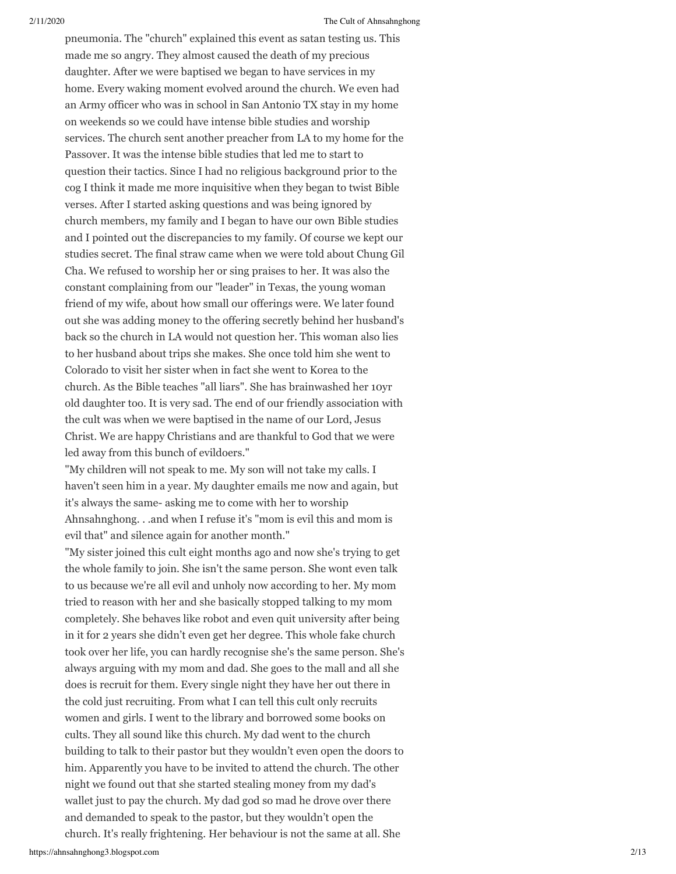pneumonia. The "church" explained this event as satan testing us. This made me so angry. They almost caused the death of my precious daughter. After we were baptised we began to have services in my home. Every waking moment evolved around the church. We even had an Army officer who was in school in San Antonio TX stay in my home on weekends so we could have intense bible studies and worship services. The church sent another preacher from LA to my home for the Passover. It was the intense bible studies that led me to start to question their tactics. Since I had no religious background prior to the cog I think it made me more inquisitive when they began to twist Bible verses. After I started asking questions and was being ignored by church members, my family and I began to have our own Bible studies and I pointed out the discrepancies to my family. Of course we kept our studies secret. The final straw came when we were told about Chung Gil Cha. We refused to worship her or sing praises to her. It was also the constant complaining from our "leader" in Texas, the young woman friend of my wife, about how small our offerings were. We later found out she was adding money to the offering secretly behind her husband's back so the church in LA would not question her. This woman also lies to her husband about trips she makes. She once told him she went to Colorado to visit her sister when in fact she went to Korea to the church. As the Bible teaches "all liars". She has brainwashed her 10yr old daughter too. It is very sad. The end of our friendly association with the cult was when we were baptised in the name of our Lord, Jesus Christ. We are happy Christians and are thankful to God that we were led away from this bunch of evildoers."

"My children will not speak to me. My son will not take my calls. I haven't seen him in a year. My daughter emails me now and again, but it's always the same- asking me to come with her to worship Ahnsahnghong. . .and when I refuse it's "mom is evil this and mom is evil that" and silence again for another month."

"My sister joined this cult eight months ago and now she's trying to get the whole family to join. She isn't the same person. She wont even talk to us because we're all evil and unholy now according to her. My mom tried to reason with her and she basically stopped talking to my mom completely. She behaves like robot and even quit university after being in it for 2 years she didn't even get her degree. This whole fake church took over her life, you can hardly recognise she's the same person. She's always arguing with my mom and dad. She goes to the mall and all she does is recruit for them. Every single night they have her out there in the cold just recruiting. From what I can tell this cult only recruits women and girls. I went to the library and borrowed some books on cults. They all sound like this church. My dad went to the church building to talk to their pastor but they wouldn't even open the doors to him. Apparently you have to be invited to attend the church. The other night we found out that she started stealing money from my dad's wallet just to pay the church. My dad god so mad he drove over there and demanded to speak to the pastor, but they wouldn't open the church. It's really frightening. Her behaviour is not the same at all. She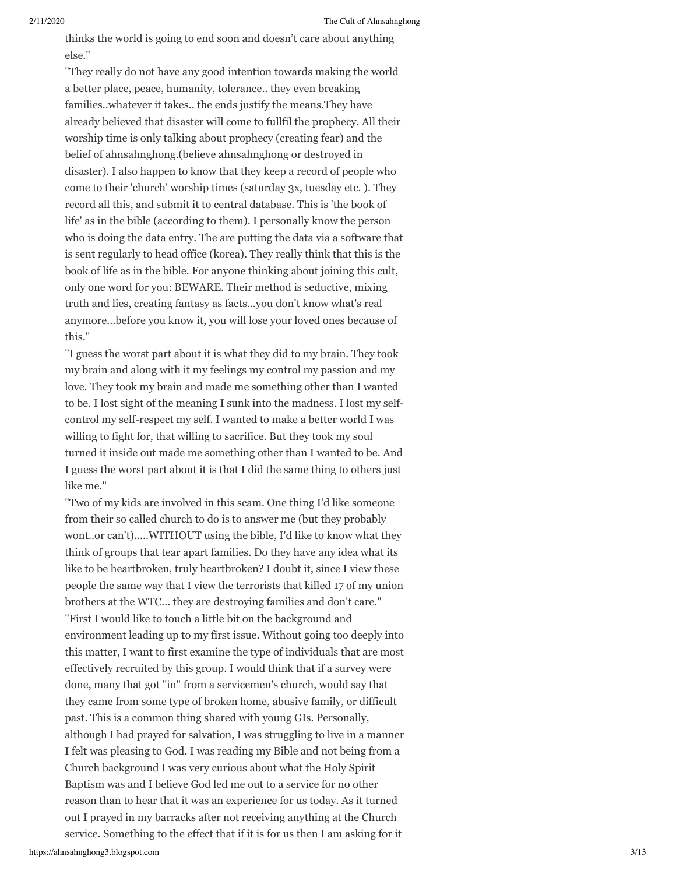thinks the world is going to end soon and doesn't care about anything else."

"They really do not have any good intention towards making the world a better place, peace, humanity, tolerance.. they even breaking families..whatever it takes.. the ends justify the means.They have already believed that disaster will come to fullfil the prophecy. All their worship time is only talking about prophecy (creating fear) and the belief of ahnsahnghong.(believe ahnsahnghong or destroyed in disaster). I also happen to know that they keep a record of people who come to their 'church' worship times (saturday 3x, tuesday etc. ). They record all this, and submit it to central database. This is 'the book of life' as in the bible (according to them). I personally know the person who is doing the data entry. The are putting the data via a software that is sent regularly to head office (korea). They really think that this is the book of life as in the bible. For anyone thinking about joining this cult, only one word for you: BEWARE. Their method is seductive, mixing truth and lies, creating fantasy as facts...you don't know what's real anymore...before you know it, you will lose your loved ones because of this."

"I guess the worst part about it is what they did to my brain. They took my brain and along with it my feelings my control my passion and my love. They took my brain and made me something other than I wanted to be. I lost sight of the meaning I sunk into the madness. I lost my selfcontrol my self-respect my self. I wanted to make a better world I was willing to fight for, that willing to sacrifice. But they took my soul turned it inside out made me something other than I wanted to be. And I guess the worst part about it is that I did the same thing to others just like me."

"Two of my kids are involved in this scam. One thing I'd like someone from their so called church to do is to answer me (but they probably wont..or can't).....WITHOUT using the bible, I'd like to know what they think of groups that tear apart families. Do they have any idea what its like to be heartbroken, truly heartbroken? I doubt it, since I view these people the same way that I view the terrorists that killed 17 of my union brothers at the WTC... they are destroying families and don't care." "First I would like to touch a little bit on the background and environment leading up to my first issue. Without going too deeply into this matter, I want to first examine the type of individuals that are most effectively recruited by this group. I would think that if a survey were done, many that got "in" from a servicemen's church, would say that they came from some type of broken home, abusive family, or difficult past. This is a common thing shared with young GIs. Personally, although I had prayed for salvation, I was struggling to live in a manner I felt was pleasing to God. I was reading my Bible and not being from a Church background I was very curious about what the Holy Spirit Baptism was and I believe God led me out to a service for no other reason than to hear that it was an experience for us today. As it turned out I prayed in my barracks after not receiving anything at the Church service. Something to the effect that if it is for us then I am asking for it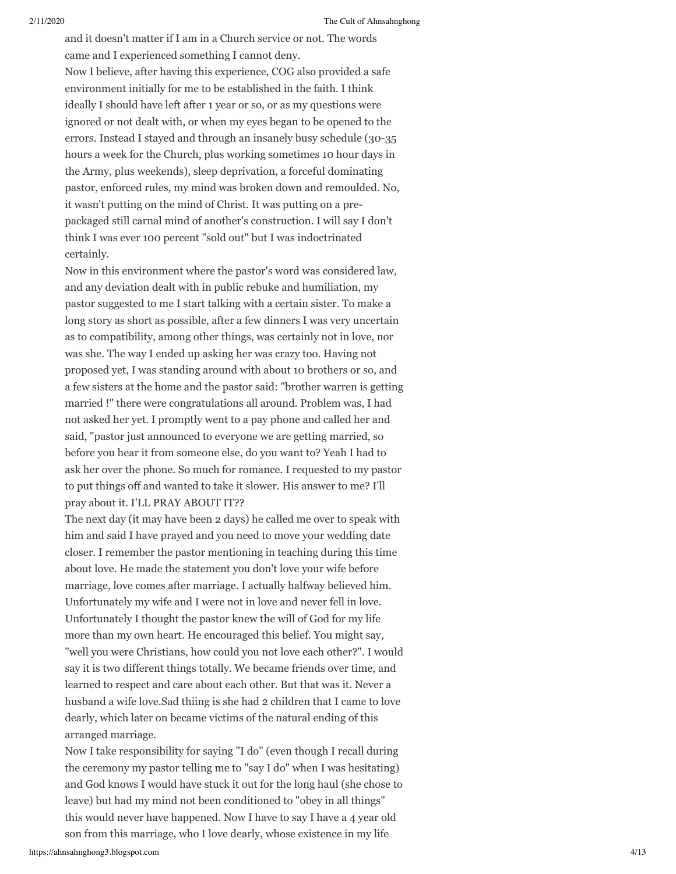and it doesn't matter if I am in a Church service or not. The words came and I experienced something I cannot deny. Now I believe, after having this experience, COG also provided a safe environment initially for me to be established in the faith. I think ideally I should have left after 1 year or so, or as my questions were ignored or not dealt with, or when my eyes began to be opened to the errors. Instead I stayed and through an insanely busy schedule (30-35 hours a week for the Church, plus working sometimes 10 hour days in the Army, plus weekends), sleep deprivation, a forceful dominating pastor, enforced rules, my mind was broken down and remoulded. No, it wasn't putting on the mind of Christ. It was putting on a prepackaged still carnal mind of another's construction. I will say I don't think I was ever 100 percent "sold out" but I was indoctrinated certainly.

Now in this environment where the pastor's word was considered law, and any deviation dealt with in public rebuke and humiliation, my pastor suggested to me I start talking with a certain sister. To make a long story as short as possible, after a few dinners I was very uncertain as to compatibility, among other things, was certainly not in love, nor was she. The way I ended up asking her was crazy too. Having not proposed yet, I was standing around with about 10 brothers or so, and a few sisters at the home and the pastor said: "brother warren is getting married !" there were congratulations all around. Problem was, I had not asked her yet. I promptly went to a pay phone and called her and said, "pastor just announced to everyone we are getting married, so before you hear it from someone else, do you want to? Yeah I had to ask her over the phone. So much for romance. I requested to my pastor to put things off and wanted to take it slower. His answer to me? I'll pray about it. I'LL PRAY ABOUT IT??

The next day (it may have been 2 days) he called me over to speak with him and said I have prayed and you need to move your wedding date closer. I remember the pastor mentioning in teaching during this time about love. He made the statement you don't love your wife before marriage, love comes after marriage. I actually halfway believed him. Unfortunately my wife and I were not in love and never fell in love. Unfortunately I thought the pastor knew the will of God for my life more than my own heart. He encouraged this belief. You might say, "well you were Christians, how could you not love each other?". I would say it is two different things totally. We became friends over time, and learned to respect and care about each other. But that was it. Never a husband a wife love.Sad thiing is she had 2 children that I came to love dearly, which later on became victims of the natural ending of this arranged marriage.

Now I take responsibility for saying "I do" (even though I recall during the ceremony my pastor telling me to "say I do" when I was hesitating) and God knows I would have stuck it out for the long haul (she chose to leave) but had my mind not been conditioned to "obey in all things" this would never have happened. Now I have to say I have a 4 year old son from this marriage, who I love dearly, whose existence in my life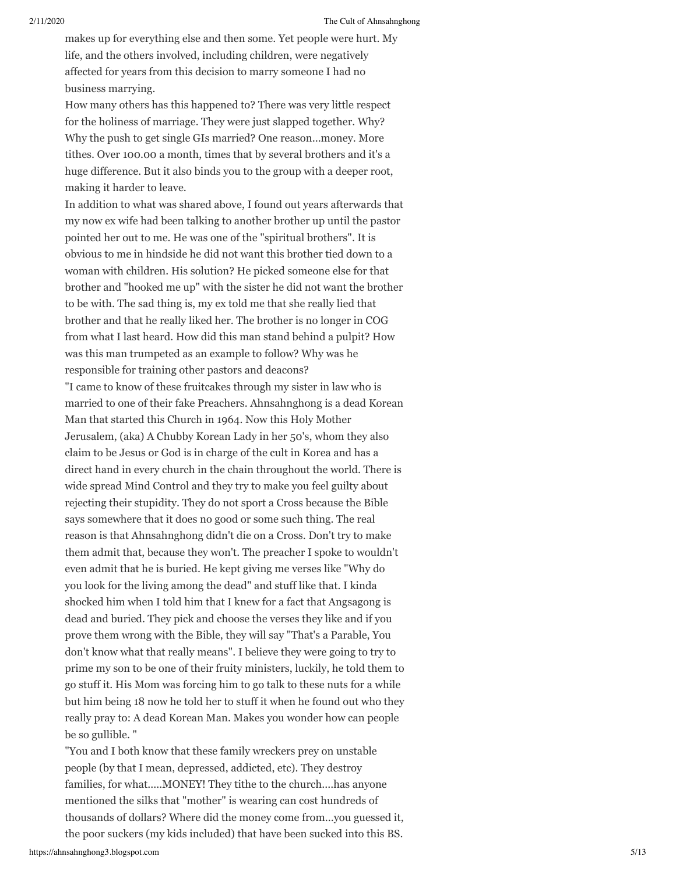makes up for everything else and then some. Yet people were hurt. My life, and the others involved, including children, were negatively affected for years from this decision to marry someone I had no business marrying.

How many others has this happened to? There was very little respect for the holiness of marriage. They were just slapped together. Why? Why the push to get single GIs married? One reason...money. More tithes. Over 100.00 a month, times that by several brothers and it's a huge difference. But it also binds you to the group with a deeper root, making it harder to leave.

In addition to what was shared above, I found out years afterwards that my now ex wife had been talking to another brother up until the pastor pointed her out to me. He was one of the "spiritual brothers". It is obvious to me in hindside he did not want this brother tied down to a woman with children. His solution? He picked someone else for that brother and "hooked me up" with the sister he did not want the brother to be with. The sad thing is, my ex told me that she really lied that brother and that he really liked her. The brother is no longer in COG from what I last heard. How did this man stand behind a pulpit? How was this man trumpeted as an example to follow? Why was he responsible for training other pastors and deacons? "I came to know of these fruitcakes through my sister in law who is married to one of their fake Preachers. Ahnsahnghong is a dead Korean Man that started this Church in 1964. Now this Holy Mother Jerusalem, (aka) A Chubby Korean Lady in her 50's, whom they also claim to be Jesus or God is in charge of the cult in Korea and has a direct hand in every church in the chain throughout the world. There is wide spread Mind Control and they try to make you feel guilty about rejecting their stupidity. They do not sport a Cross because the Bible says somewhere that it does no good or some such thing. The real reason is that Ahnsahnghong didn't die on a Cross. Don't try to make them admit that, because they won't. The preacher I spoke to wouldn't even admit that he is buried. He kept giving me verses like "Why do you look for the living among the dead" and stuff like that. I kinda shocked him when I told him that I knew for a fact that Angsagong is dead and buried. They pick and choose the verses they like and if you

prove them wrong with the Bible, they will say "That's a Parable, You don't know what that really means". I believe they were going to try to prime my son to be one of their fruity ministers, luckily, he told them to go stuff it. His Mom was forcing him to go talk to these nuts for a while but him being 18 now he told her to stuff it when he found out who they really pray to: A dead Korean Man. Makes you wonder how can people be so gullible. "

"You and I both know that these family wreckers prey on unstable people (by that I mean, depressed, addicted, etc). They destroy families, for what.....MONEY! They tithe to the church....has anyone mentioned the silks that "mother" is wearing can cost hundreds of thousands of dollars? Where did the money come from...you guessed it, the poor suckers (my kids included) that have been sucked into this BS.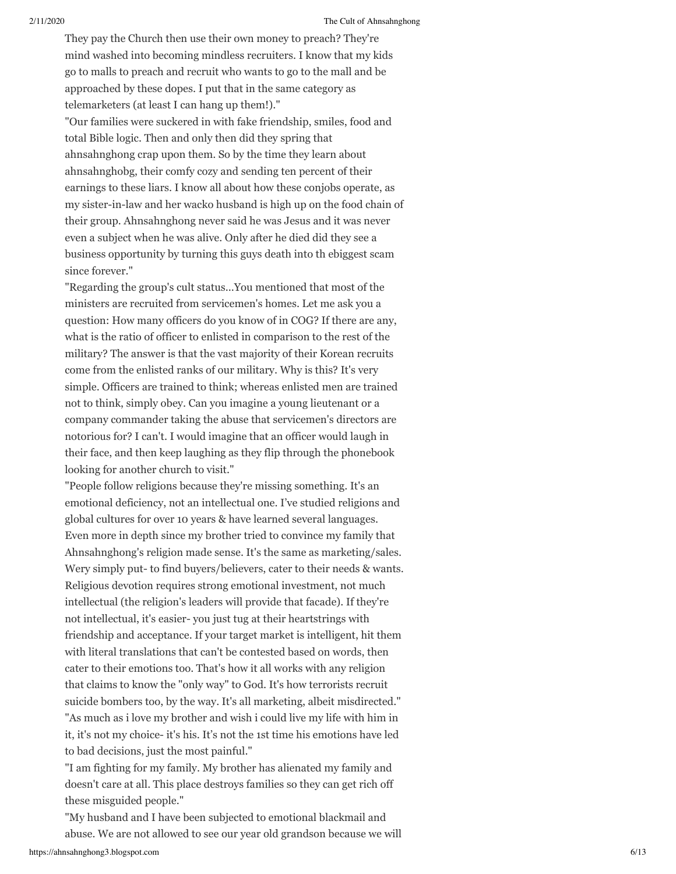They pay the Church then use their own money to preach? They're mind washed into becoming mindless recruiters. I know that my kids go to malls to preach and recruit who wants to go to the mall and be approached by these dopes. I put that in the same category as telemarketers (at least I can hang up them!)."

"Our families were suckered in with fake friendship, smiles, food and total Bible logic. Then and only then did they spring that ahnsahnghong crap upon them. So by the time they learn about ahnsahnghobg, their comfy cozy and sending ten percent of their earnings to these liars. I know all about how these conjobs operate, as my sister-in-law and her wacko husband is high up on the food chain of their group. Ahnsahnghong never said he was Jesus and it was never even a subject when he was alive. Only after he died did they see a business opportunity by turning this guys death into th ebiggest scam since forever."

"Regarding the group's cult status...You mentioned that most of the ministers are recruited from servicemen's homes. Let me ask you a question: How many officers do you know of in COG? If there are any, what is the ratio of officer to enlisted in comparison to the rest of the military? The answer is that the vast majority of their Korean recruits come from the enlisted ranks of our military. Why is this? It's very simple. Officers are trained to think; whereas enlisted men are trained not to think, simply obey. Can you imagine a young lieutenant or a company commander taking the abuse that servicemen's directors are notorious for? I can't. I would imagine that an officer would laugh in their face, and then keep laughing as they flip through the phonebook looking for another church to visit."

"People follow religions because they're missing something. It's an emotional deficiency, not an intellectual one. I've studied religions and global cultures for over 10 years & have learned several languages. Even more in depth since my brother tried to convince my family that Ahnsahnghong's religion made sense. It's the same as marketing/sales. Wery simply put- to find buyers/believers, cater to their needs & wants. Religious devotion requires strong emotional investment, not much intellectual (the religion's leaders will provide that facade). If they're not intellectual, it's easier- you just tug at their heartstrings with friendship and acceptance. If your target market is intelligent, hit them with literal translations that can't be contested based on words, then cater to their emotions too. That's how it all works with any religion that claims to know the "only way" to God. It's how terrorists recruit suicide bombers too, by the way. It's all marketing, albeit misdirected." "As much as i love my brother and wish i could live my life with him in it, it's not my choice- it's his. It's not the 1st time his emotions have led to bad decisions, just the most painful."

"I am fighting for my family. My brother has alienated my family and doesn't care at all. This place destroys families so they can get rich off these misguided people."

"My husband and I have been subjected to emotional blackmail and abuse. We are not allowed to see our year old grandson because we will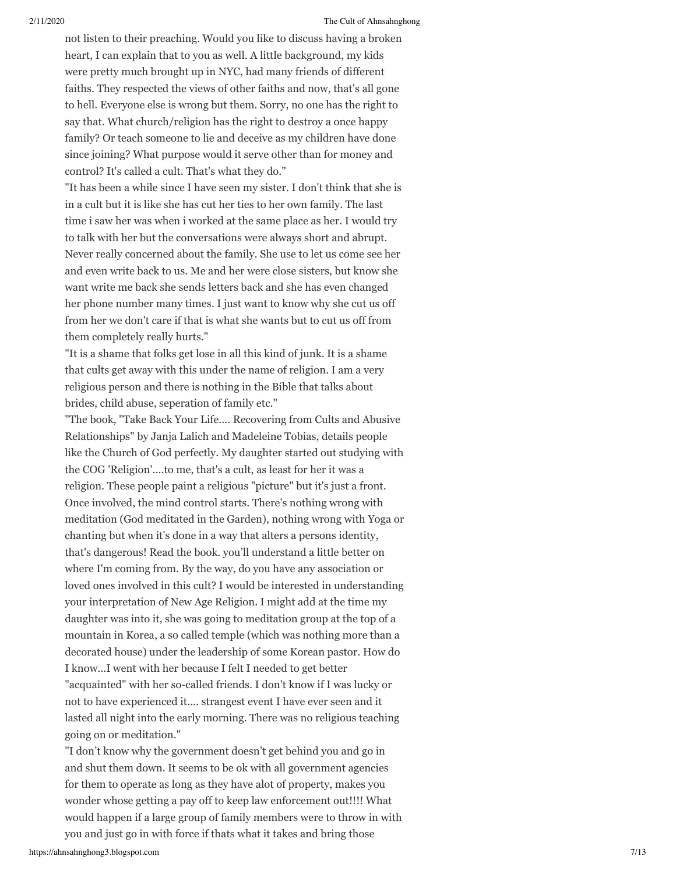not listen to their preaching. Would you like to discuss having a broken heart, I can explain that to you as well. A little background, my kids were pretty much brought up in NYC, had many friends of different faiths. They respected the views of other faiths and now, that's all gone to hell. Everyone else is wrong but them. Sorry, no one has the right to say that. What church/religion has the right to destroy a once happy family? Or teach someone to lie and deceive as my children have done since joining? What purpose would it serve other than for money and control? It's called a cult. That's what they do."

"It has been a while since I have seen my sister. I don't think that she is in a cult but it is like she has cut her ties to her own family. The last time i saw her was when i worked at the same place as her. I would try to talk with her but the conversations were always short and abrupt. Never really concerned about the family. She use to let us come see her and even write back to us. Me and her were close sisters, but know she want write me back she sends letters back and she has even changed her phone number many times. I just want to know why she cut us off from her we don't care if that is what she wants but to cut us off from them completely really hurts."

"It is a shame that folks get lose in all this kind of junk. It is a shame that cults get away with this under the name of religion. I am a very religious person and there is nothing in the Bible that talks about brides, child abuse, seperation of family etc."

"The book, "Take Back Your Life.... Recovering from Cults and Abusive Relationships" by Janja Lalich and Madeleine Tobias, details people like the Church of God perfectly. My daughter started out studying with the COG 'Religion'....to me, that's a cult, as least for her it was a religion. These people paint a religious "picture" but it's just a front. Once involved, the mind control starts. There's nothing wrong with meditation (God meditated in the Garden), nothing wrong with Yoga or chanting but when it's done in a way that alters a persons identity, that's dangerous! Read the book. you'll understand a little better on where I'm coming from. By the way, do you have any association or loved ones involved in this cult? I would be interested in understanding your interpretation of New Age Religion. I might add at the time my daughter was into it, she was going to meditation group at the top of a mountain in Korea, a so called temple (which was nothing more than a decorated house) under the leadership of some Korean pastor. How do I know...I went with her because I felt I needed to get better "acquainted" with her so-called friends. I don't know if I was lucky or not to have experienced it.... strangest event I have ever seen and it lasted all night into the early morning. There was no religious teaching going on or meditation."

"I don't know why the government doesn't get behind you and go in and shut them down. It seems to be ok with all government agencies for them to operate as long as they have alot of property, makes you wonder whose getting a pay off to keep law enforcement out!!!! What would happen if a large group of family members were to throw in with you and just go in with force if thats what it takes and bring those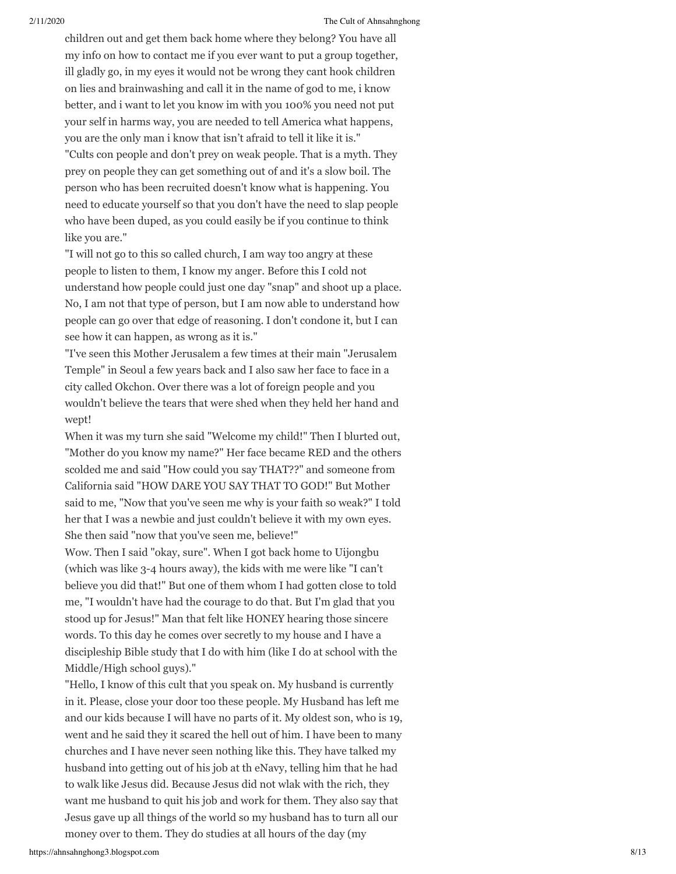children out and get them back home where they belong? You have all my info on how to contact me if you ever want to put a group together, ill gladly go, in my eyes it would not be wrong they cant hook children on lies and brainwashing and call it in the name of god to me, i know better, and i want to let you know im with you 100% you need not put your self in harms way, you are needed to tell America what happens, you are the only man i know that isn't afraid to tell it like it is."

"Cults con people and don't prey on weak people. That is a myth. They prey on people they can get something out of and it's a slow boil. The person who has been recruited doesn't know what is happening. You need to educate yourself so that you don't have the need to slap people who have been duped, as you could easily be if you continue to think like you are."

"I will not go to this so called church, I am way too angry at these people to listen to them, I know my anger. Before this I cold not understand how people could just one day "snap" and shoot up a place. No, I am not that type of person, but I am now able to understand how people can go over that edge of reasoning. I don't condone it, but I can see how it can happen, as wrong as it is."

"I've seen this Mother Jerusalem a few times at their main "Jerusalem Temple" in Seoul a few years back and I also saw her face to face in a city called Okchon. Over there was a lot of foreign people and you wouldn't believe the tears that were shed when they held her hand and wept!

When it was my turn she said "Welcome my child!" Then I blurted out, "Mother do you know my name?" Her face became RED and the others scolded me and said "How could you say THAT??" and someone from California said "HOW DARE YOU SAY THAT TO GOD!" But Mother said to me, "Now that you've seen me why is your faith so weak?" I told her that I was a newbie and just couldn't believe it with my own eyes. She then said "now that you've seen me, believe!"

Wow. Then I said "okay, sure". When I got back home to Uijongbu (which was like 3-4 hours away), the kids with me were like "I can't believe you did that!" But one of them whom I had gotten close to told me, "I wouldn't have had the courage to do that. But I'm glad that you stood up for Jesus!" Man that felt like HONEY hearing those sincere words. To this day he comes over secretly to my house and I have a discipleship Bible study that I do with him (like I do at school with the Middle/High school guys)."

"Hello, I know of this cult that you speak on. My husband is currently in it. Please, close your door too these people. My Husband has left me and our kids because I will have no parts of it. My oldest son, who is 19, went and he said they it scared the hell out of him. I have been to many churches and I have never seen nothing like this. They have talked my husband into getting out of his job at th eNavy, telling him that he had to walk like Jesus did. Because Jesus did not wlak with the rich, they want me husband to quit his job and work for them. They also say that Jesus gave up all things of the world so my husband has to turn all our money over to them. They do studies at all hours of the day (my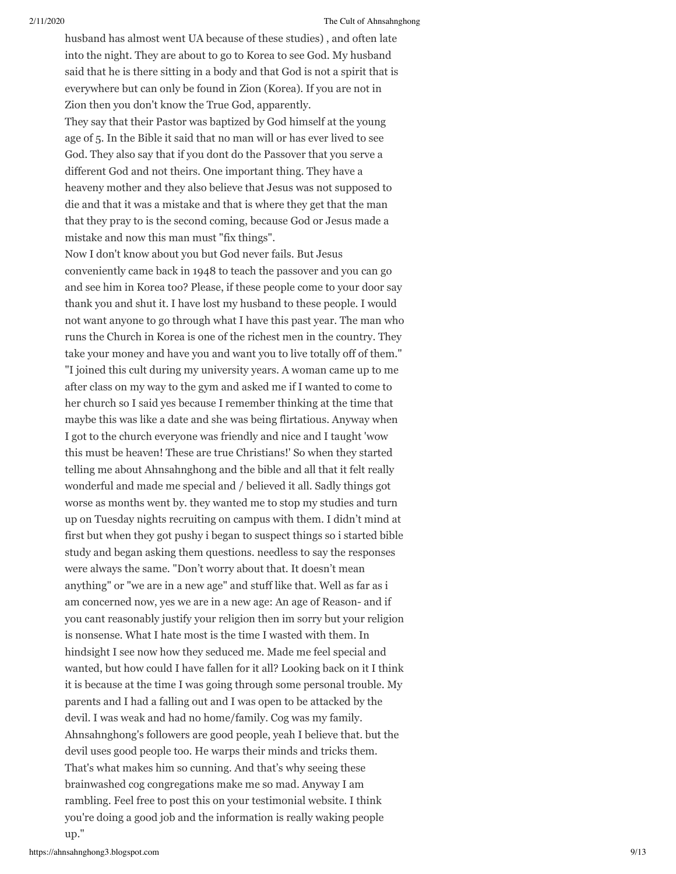husband has almost went UA because of these studies) , and often late into the night. They are about to go to Korea to see God. My husband said that he is there sitting in a body and that God is not a spirit that is everywhere but can only be found in Zion (Korea). If you are not in Zion then you don't know the True God, apparently.

They say that their Pastor was baptized by God himself at the young age of 5. In the Bible it said that no man will or has ever lived to see God. They also say that if you dont do the Passover that you serve a different God and not theirs. One important thing. They have a heaveny mother and they also believe that Jesus was not supposed to die and that it was a mistake and that is where they get that the man that they pray to is the second coming, because God or Jesus made a mistake and now this man must "fix things".

Now I don't know about you but God never fails. But Jesus conveniently came back in 1948 to teach the passover and you can go and see him in Korea too? Please, if these people come to your door say thank you and shut it. I have lost my husband to these people. I would not want anyone to go through what I have this past year. The man who runs the Church in Korea is one of the richest men in the country. They take your money and have you and want you to live totally off of them." "I joined this cult during my university years. A woman came up to me after class on my way to the gym and asked me if I wanted to come to her church so I said yes because I remember thinking at the time that maybe this was like a date and she was being flirtatious. Anyway when I got to the church everyone was friendly and nice and I taught 'wow this must be heaven! These are true Christians!' So when they started telling me about Ahnsahnghong and the bible and all that it felt really wonderful and made me special and / believed it all. Sadly things got worse as months went by. they wanted me to stop my studies and turn up on Tuesday nights recruiting on campus with them. I didn't mind at first but when they got pushy i began to suspect things so i started bible study and began asking them questions. needless to say the responses were always the same. "Don't worry about that. It doesn't mean anything" or "we are in a new age" and stuff like that. Well as far as i am concerned now, yes we are in a new age: An age of Reason- and if you cant reasonably justify your religion then im sorry but your religion is nonsense. What I hate most is the time I wasted with them. In hindsight I see now how they seduced me. Made me feel special and wanted, but how could I have fallen for it all? Looking back on it I think it is because at the time I was going through some personal trouble. My parents and I had a falling out and I was open to be attacked by the devil. I was weak and had no home/family. Cog was my family. Ahnsahnghong's followers are good people, yeah I believe that. but the devil uses good people too. He warps their minds and tricks them. That's what makes him so cunning. And that's why seeing these brainwashed cog congregations make me so mad. Anyway I am rambling. Feel free to post this on your testimonial website. I think you're doing a good job and the information is really waking people up."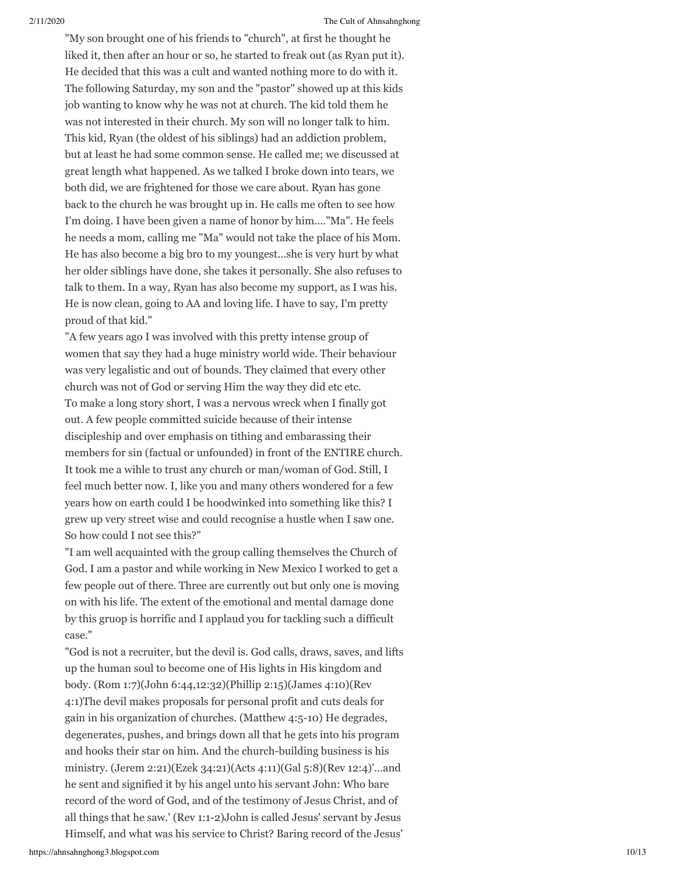"My son brought one of his friends to "church", at first he thought he liked it, then after an hour or so, he started to freak out (as Ryan put it). He decided that this was a cult and wanted nothing more to do with it. The following Saturday, my son and the "pastor" showed up at this kids job wanting to know why he was not at church. The kid told them he was not interested in their church. My son will no longer talk to him. This kid, Ryan (the oldest of his siblings) had an addiction problem, but at least he had some common sense. He called me; we discussed at great length what happened. As we talked I broke down into tears, we both did, we are frightened for those we care about. Ryan has gone back to the church he was brought up in. He calls me often to see how I'm doing. I have been given a name of honor by him...."Ma". He feels he needs a mom, calling me "Ma" would not take the place of his Mom. He has also become a big bro to my youngest...she is very hurt by what her older siblings have done, she takes it personally. She also refuses to talk to them. In a way, Ryan has also become my support, as I was his. He is now clean, going to AA and loving life. I have to say, I'm pretty proud of that kid."

"A few years ago I was involved with this pretty intense group of women that say they had a huge ministry world wide. Their behaviour was very legalistic and out of bounds. They claimed that every other church was not of God or serving Him the way they did etc etc. To make a long story short, I was a nervous wreck when I finally got out. A few people committed suicide because of their intense discipleship and over emphasis on tithing and embarassing their members for sin (factual or unfounded) in front of the ENTIRE church. It took me a wihle to trust any church or man/woman of God. Still, I feel much better now. I, like you and many others wondered for a few years how on earth could I be hoodwinked into something like this? I grew up very street wise and could recognise a hustle when I saw one. So how could I not see this?"

"I am well acquainted with the group calling themselves the Church of God. I am a pastor and while working in New Mexico I worked to get a few people out of there. Three are currently out but only one is moving on with his life. The extent of the emotional and mental damage done by this gruop is horrific and I applaud you for tackling such a difficult case."

"God is not a recruiter, but the devil is. God calls, draws, saves, and lifts up the human soul to become one of His lights in His kingdom and body. (Rom 1:7)(John 6:44,12:32)(Phillip 2:15)(James 4:10)(Rev 4:1)The devil makes proposals for personal profit and cuts deals for gain in his organization of churches. (Matthew 4:5-10) He degrades, degenerates, pushes, and brings down all that he gets into his program and hooks their star on him. And the church-building business is his ministry. (Jerem 2:21)(Ezek 34:21)(Acts 4:11)(Gal 5:8)(Rev 12:4)'...and he sent and signified it by his angel unto his servant John: Who bare record of the word of God, and of the testimony of Jesus Christ, and of all things that he saw.' (Rev 1:1-2)John is called Jesus' servant by Jesus Himself, and what was his service to Christ? Baring record of the Jesus'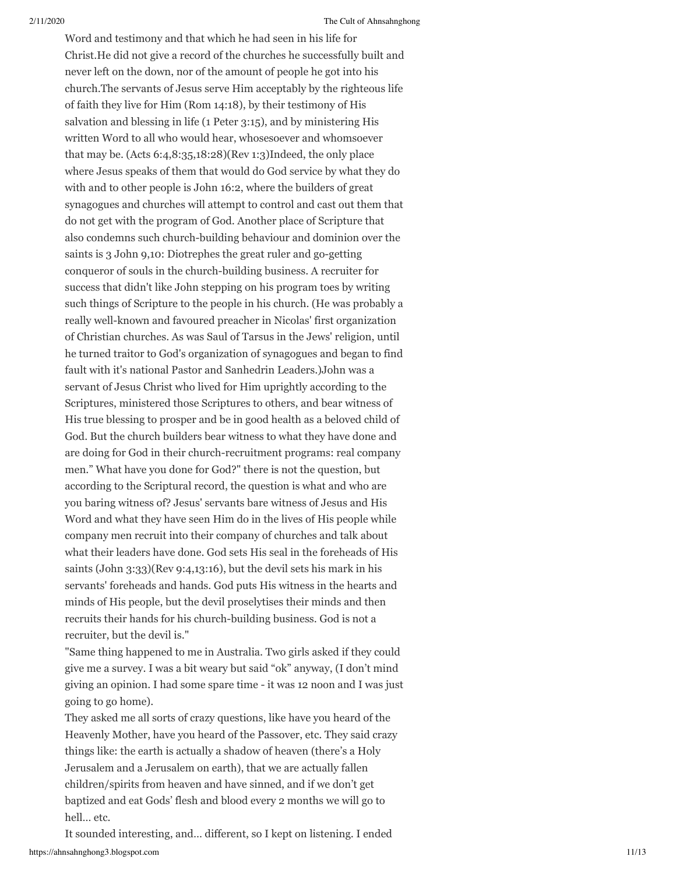Word and testimony and that which he had seen in his life for Christ.He did not give a record of the churches he successfully built and never left on the down, nor of the amount of people he got into his church.The servants of Jesus serve Him acceptably by the righteous life of faith they live for Him (Rom 14:18), by their testimony of His salvation and blessing in life (1 Peter 3:15), and by ministering His written Word to all who would hear, whosesoever and whomsoever that may be. (Acts 6:4,8:35,18:28)(Rev 1:3)Indeed, the only place where Jesus speaks of them that would do God service by what they do with and to other people is John 16:2, where the builders of great synagogues and churches will attempt to control and cast out them that do not get with the program of God. Another place of Scripture that also condemns such church-building behaviour and dominion over the saints is 3 John 9,10: Diotrephes the great ruler and go-getting conqueror of souls in the church-building business. A recruiter for success that didn't like John stepping on his program toes by writing such things of Scripture to the people in his church. (He was probably a really well-known and favoured preacher in Nicolas' first organization of Christian churches. As was Saul of Tarsus in the Jews' religion, until he turned traitor to God's organization of synagogues and began to find fault with it's national Pastor and Sanhedrin Leaders.)John was a servant of Jesus Christ who lived for Him uprightly according to the Scriptures, ministered those Scriptures to others, and bear witness of His true blessing to prosper and be in good health as a beloved child of God. But the church builders bear witness to what they have done and are doing for God in their church-recruitment programs: real company men." What have you done for God?" there is not the question, but according to the Scriptural record, the question is what and who are you baring witness of? Jesus' servants bare witness of Jesus and His Word and what they have seen Him do in the lives of His people while company men recruit into their company of churches and talk about what their leaders have done. God sets His seal in the foreheads of His saints (John 3:33)(Rev 9:4,13:16), but the devil sets his mark in his servants' foreheads and hands. God puts His witness in the hearts and minds of His people, but the devil proselytises their minds and then recruits their hands for his church-building business. God is not a recruiter, but the devil is."

"Same thing happened to me in Australia. Two girls asked if they could give me a survey. I was a bit weary but said "ok" anyway, (I don't mind giving an opinion. I had some spare time - it was 12 noon and I was just going to go home).

They asked me all sorts of crazy questions, like have you heard of the Heavenly Mother, have you heard of the Passover, etc. They said crazy things like: the earth is actually a shadow of heaven (there's a Holy Jerusalem and a Jerusalem on earth), that we are actually fallen children/spirits from heaven and have sinned, and if we don't get baptized and eat Gods' flesh and blood every 2 months we will go to hell… etc.

https://ahnsahnghong3.blogspot.com 11/13 It sounded interesting, and… different, so I kept on listening. I ended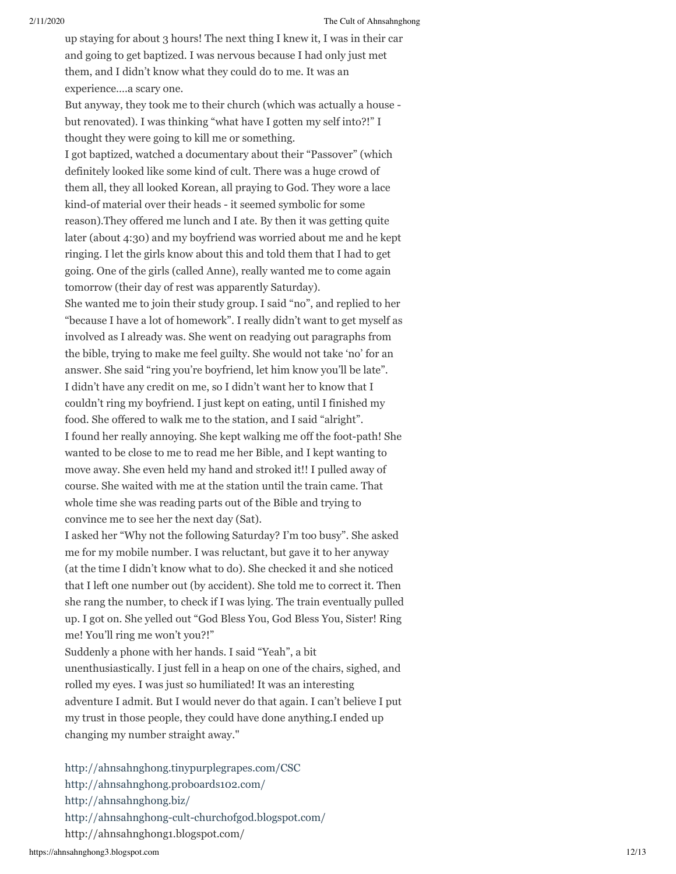up staying for about 3 hours! The next thing I knew it, I was in their car and going to get baptized. I was nervous because I had only just met them, and I didn't know what they could do to me. It was an experience….a scary one.

But anyway, they took me to their church (which was actually a house but renovated). I was thinking "what have I gotten my self into?!" I thought they were going to kill me or something.

I got baptized, watched a documentary about their "Passover" (which definitely looked like some kind of cult. There was a huge crowd of them all, they all looked Korean, all praying to God. They wore a lace kind-of material over their heads - it seemed symbolic for some reason).They offered me lunch and I ate. By then it was getting quite later (about 4:30) and my boyfriend was worried about me and he kept ringing. I let the girls know about this and told them that I had to get going. One of the girls (called Anne), really wanted me to come again tomorrow (their day of rest was apparently Saturday).

She wanted me to join their study group. I said "no", and replied to her "because I have a lot of homework". I really didn't want to get myself as involved as I already was. She went on readying out paragraphs from the bible, trying to make me feel guilty. She would not take 'no' for an answer. She said "ring you're boyfriend, let him know you'll be late". I didn't have any credit on me, so I didn't want her to know that I couldn't ring my boyfriend. I just kept on eating, until I finished my food. She offered to walk me to the station, and I said "alright". I found her really annoying. She kept walking me off the foot-path! She wanted to be close to me to read me her Bible, and I kept wanting to move away. She even held my hand and stroked it!! I pulled away of course. She waited with me at the station until the train came. That whole time she was reading parts out of the Bible and trying to convince me to see her the next day (Sat).

I asked her "Why not the following Saturday? I'm too busy". She asked me for my mobile number. I was reluctant, but gave it to her anyway (at the time I didn't know what to do). She checked it and she noticed that I left one number out (by accident). She told me to correct it. Then she rang the number, to check if I was lying. The train eventually pulled up. I got on. She yelled out "God Bless You, God Bless You, Sister! Ring me! You'll ring me won't you?!"

Suddenly a phone with her hands. I said "Yeah", a bit unenthusiastically. I just fell in a heap on one of the chairs, sighed, and rolled my eyes. I was just so humiliated! It was an interesting adventure I admit. But I would never do that again. I can't believe I put my trust in those people, they could have done anything.I ended up changing my number straight away."

<http://ahnsahnghong.tinypurplegrapes.com/CSC> <http://ahnsahnghong.proboards102.com/> <http://ahnsahnghong.biz/> <http://ahnsahnghong-cult-churchofgod.blogspot.com/> http://ahnsahnghong1.blogspot.com/